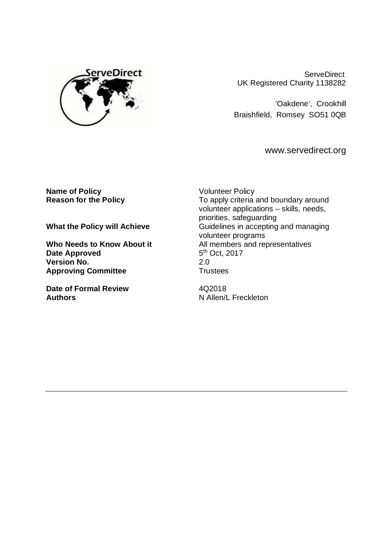

**ServeDirect** UK Registered Charity 1138282

'Oakdene', Crookhill Braishfield, Romsey SO51 0QB

[www.servedirect.org](http://www.servedirect.org)

**Name of Policy**<br> **Reason for the Policy**<br> **COMPONE TO Apply Criteria** 

**Date Approved Version No.** 2.0<br> **Approving Committee Committee Proving Committee Approving Committee** 

**Date of Formal Review**  4Q2018 **Authors** N Allen/L Freckleton

To apply criteria and boundary around volunteer applications – skills, needs, priorities, safeguarding **What the Policy will Achieve Guidelines in accepting and managing** volunteer programs Who Needs to Know About it **All members** and representatives 5<sup>th</sup> Oct, 2017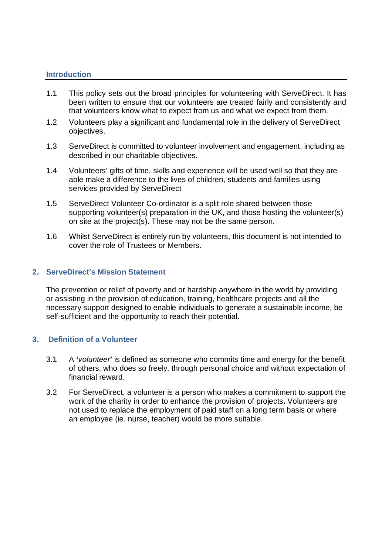## **Introduction**

- 1.1 This policy sets out the broad principles for volunteering with ServeDirect. It has been written to ensure that our volunteers are treated fairly and consistently and that volunteers know what to expect from us and what we expect from them.
- 1.2 Volunteers play a significant and fundamental role in the delivery of ServeDirect objectives.
- 1.3 ServeDirect is committed to volunteer involvement and engagement, including as described in our charitable objectives.
- 1.4 Volunteers' gifts of time, skills and experience will be used well so that they are able make a difference to the lives of children, students and families using services provided by ServeDirect
- 1.5 ServeDirect Volunteer Co-ordinator is a split role shared between those supporting volunteer(s) preparation in the UK, and those hosting the volunteer(s) on site at the project(s). These may not be the same person.
- 1.6 Whilst ServeDirect is entirely run by volunteers, this document is not intended to cover the role of Trustees or Members.

## **2. ServeDirect's Mission Statement**

The prevention or relief of poverty and or hardship anywhere in the world by providing or assisting in the provision of education, training, healthcare projects and all the necessary support designed to enable individuals to generate a sustainable income, be self-sufficient and the opportunity to reach their potential.

## **3. Definition of a Volunteer**

- 3.1 A **'***volunteer***'** is defined as someone who commits time and energy for the benefit of others, who does so freely, through personal choice and without expectation of financial reward.
- 3.2 For ServeDirect, a volunteer is a person who makes a commitment to support the work of the charity in order to enhance the provision of projects**.** Volunteers are not used to replace the employment of paid staff on a long term basis or where an employee (ie. nurse, teacher) would be more suitable.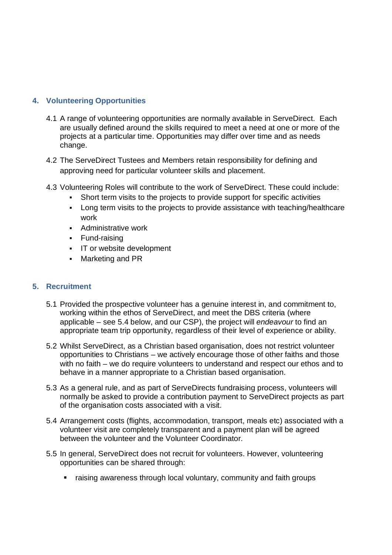# **4. Volunteering Opportunities**

- 4.1 A range of volunteering opportunities are normally available in ServeDirect. Each are usually defined around the skills required to meet a need at one or more of the projects at a particular time. Opportunities may differ over time and as needs change.
- 4.2 The ServeDirect Tustees and Members retain responsibility for defining and approving need for particular volunteer skills and placement.
- 4.3 Volunteering Roles will contribute to the work of ServeDirect. These could include:
	- Short term visits to the projects to provide support for specific activities
	- Long term visits to the projects to provide assistance with teaching/healthcare work
	- **Administrative work**
	- **Fund-raising**
	- **IT or website development**
	- **Marketing and PR**

# **5. Recruitment**

- 5.1 Provided the prospective volunteer has a genuine interest in, and commitment to, working within the ethos of ServeDirect, and meet the DBS criteria (where applicable – see 5.4 below, and our CSP), the project will *endeavour* to find an appropriate team trip opportunity, regardless of their level of experience or ability.
- 5.2 Whilst ServeDirect, as a Christian based organisation, does not restrict volunteer opportunities to Christians – we actively encourage those of other faiths and those with no faith – we do require volunteers to understand and respect our ethos and to behave in a manner appropriate to a Christian based organisation.
- 5.3 As a general rule, and as part of ServeDirects fundraising process, volunteers will normally be asked to provide a contribution payment to ServeDirect projects as part of the organisation costs associated with a visit.
- 5.4 Arrangement costs (flights, accommodation, transport, meals etc) associated with a volunteer visit are completely transparent and a payment plan will be agreed between the volunteer and the Volunteer Coordinator.
- 5.5 In general, ServeDirect does not recruit for volunteers. However, volunteering opportunities can be shared through:
	- raising awareness through local voluntary, community and faith groups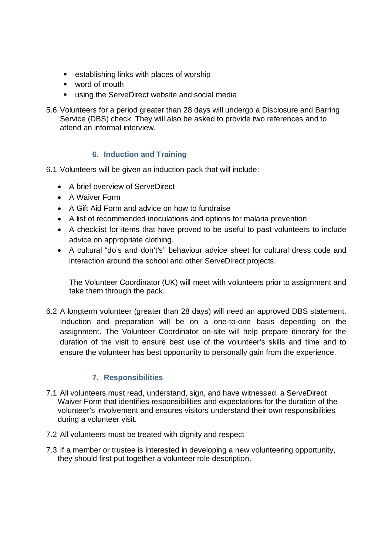- **EXECUTE:** establishing links with places of worship
- word of mouth
- using the ServeDirect website and social media
- 5.6 Volunteers for a period greater than 28 days will undergo a Disclosure and Barring Service (DBS) check. They will also be asked to provide two references and to attend an informal interview.

# **6. Induction and Training**

- 6.1 Volunteers will be given an induction pack that will include:
	- A brief overview of ServeDirect
	- A Waiver Form
	- A Gift Aid Form and advice on how to fundraise
	- A list of recommended inoculations and options for malaria prevention
	- A checklist for items that have proved to be useful to past volunteers to include advice on appropriate clothing.
	- A cultural "do's and don't's" behaviour advice sheet for cultural dress code and interaction around the school and other ServeDirect projects.

The Volunteer Coordinator (UK) will meet with volunteers prior to assignment and take them through the pack.

6.2 A longterm volunteer (greater than 28 days) will need an approved DBS statement. Induction and preparation will be on a one-to-one basis depending on the assignment. The Volunteer Coordinator on-site will help prepare itinerary for the duration of the visit to ensure best use of the volunteer's skills and time and to ensure the volunteer has best opportunity to personally gain from the experience.

# **7. Responsibilities**

- 7.1 All volunteers must read, understand, sign, and have witnessed, a ServeDirect Waiver Form that identifies responsibilities and expectations for the duration of the volunteer's involvement and ensures visitors understand their own responsibilities during a volunteer visit.
- 7.2 All volunteers must be treated with dignity and respect
- 7.3 If a member or trustee is interested in developing a new volunteering opportunity, they should first put together a volunteer role description.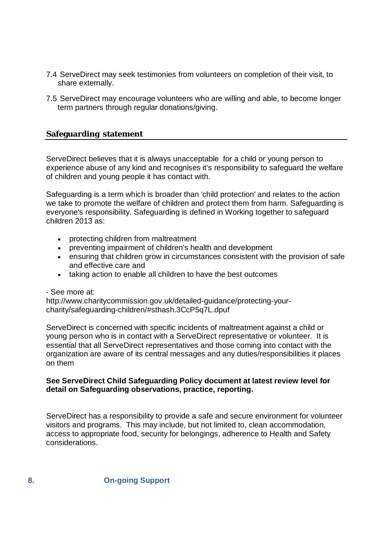- 7.4 ServeDirect may seek testimonies from volunteers on completion of their visit, to share externally.
- 7.5 ServeDirect may encourage volunteers who are willing and able, to become longer term partners through regular donations/giving.

## **Safeguarding statement**

ServeDirect believes that it is always unacceptable for a child or young person to experience abuse of any kind and recognises it's responsibility to safeguard the welfare of children and young people it has contact with.

Safeguarding is a term which is broader than 'child protection' and relates to the action we take to promote the welfare of children and protect them from harm. Safeguarding is everyone's responsibility. Safeguarding is defined in Working together to safeguard children 2013 as:

- protecting children from maltreatment
- preventing impairment of children's health and development
- ensuring that children grow in circumstances consistent with the provision of safe and effective care and
- taking action to enable all children to have the best outcomes

#### - See more at:

[http://www.charitycommission.gov.uk/detailed-guidance/protecting-your](http://www.charitycommission.gov.uk/detailed-guidance/protecting-your-)charity/safeguarding-children/#sthash.3CcP5q7L.dpuf

ServeDirect is concerned with specific incidents of maltreatment against a child or young person who is in contact with a ServeDirect representative or volunteer. It is essential that all ServeDirect representatives and those coming into contact with the organization are aware of its central messages and any duties/responsibilities it places on them

## **See ServeDirect Child Safeguarding Policy document at latest review level for detail on Safeguarding observations, practice, reporting.**

ServeDirect has a responsibility to provide a safe and secure environment for volunteer visitors and programs. This may include, but not limited to, clean accommodation, access to appropriate food, security for belongings, adherence to Health and Safety considerations.

**8. On-going Support**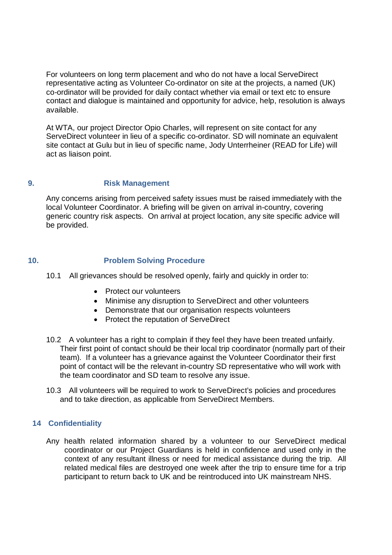For volunteers on long term placement and who do not have a local ServeDirect representative acting as Volunteer Co-ordinator on site at the projects, a named (UK) co-ordinator will be provided for daily contact whether via email or text etc to ensure contact and dialogue is maintained and opportunity for advice, help, resolution is always available.

At WTA, our project Director Opio Charles, will represent on site contact for any ServeDirect volunteer in lieu of a specific co-ordinator. SD will nominate an equivalent site contact at Gulu but in lieu of specific name, Jody Unterrheiner (READ for Life) will act as liaison point.

## **9. Risk Management**

Any concerns arising from perceived safety issues must be raised immediately with the local Volunteer Coordinator. A briefing will be given on arrival in-country, covering generic country risk aspects. On arrival at project location, any site specific advice will be provided.

# **10. Problem Solving Procedure**

- 10.1 All grievances should be resolved openly, fairly and quickly in order to:
	- Protect our volunteers
	- Minimise any disruption to ServeDirect and other volunteers
	- Demonstrate that our organisation respects volunteers
	- Protect the reputation of ServeDirect
- 10.2 A volunteer has a right to complain if they feel they have been treated unfairly. Their first point of contact should be their local trip coordinator (normally part of their team). If a volunteer has a grievance against the Volunteer Coordinator their first point of contact will be the relevant in-country SD representative who will work with the team coordinator and SD team to resolve any issue.
- 10.3 All volunteers will be required to work to ServeDirect's policies and procedures and to take direction, as applicable from ServeDirect Members.

# **14 Confidentiality**

Any health related information shared by a volunteer to our ServeDirect medical coordinator or our Project Guardians is held in confidence and used only in the context of any resultant illness or need for medical assistance during the trip. All related medical files are destroyed one week after the trip to ensure time for a trip participant to return back to UK and be reintroduced into UK mainstream NHS.